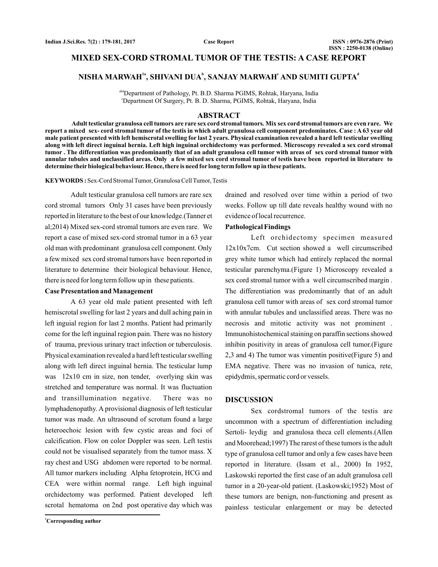# **MIXED SEX-CORD STROMAL TUMOR OF THE TESTIS: A CASE REPORT**

# $NISHA MARMAH<sup>1a</sup>, SHIVANI DUA<sup>b</sup>, SANJAY MARMAH<sup>c</sup> AND SUMITI GUPTA<sup>d</sup>$

abdDepartment of Pathology, Pt. B.D. Sharma PGIMS, Rohtak, Haryana, India c Department Of Surgery, Pt. B. D. Sharma, PGIMS, Rohtak, Haryana, India

#### **ABSTRACT**

**Adult testicular granulosa cell tumors are rare sex cord stromal tumors. Mix sex cord stromal tumors are even rare. We report a mixed sex- cord stromal tumor of the testis in which adult granulosa cell component predominates. Case : A 63 year old male patient presented with left hemiscrotal swelling for last 2 years. Physical examination revealed a hard left testicular swelling along with left direct inguinal hernia. Left high inguinal orchidectomy was performed. Microscopy revealed a sex cord stromal tumor . The differentiation was predominantly that of an adult granulosa cell tumor with areas of sex cord stromal tumor with annular tubules and unclassified areas. Only a few mixed sex cord stromal tumor of testis have been reported in literature to determine their biological behaviour. Hence, there is need for long term follow up in these patients.**

KEYWORDS: Sex-Cord Stromal Tumor, Granulosa Cell Tumor, Testis

Adult testicular granulosa cell tumors are rare sex cord stromal tumors Only 31 cases have been previously reported in literature to the best of our knowledge.(Tanner et al;2014) Mixed sex-cord stromal tumors are even rare. We report a case of mixed sex-cord stromal tumor in a 63 year old man with predominant granulosa cell component. Only a few mixed sex cord stromal tumors have been reported in literature to determine their biological behaviour. Hence, there is need for long term follow up in these patients.

# **Case Presentation and Management**

A 63 year old male patient presented with left hemiscrotal swelling for last 2 years and dull aching pain in left inguial region for last 2 months. Patient had primarily come for the left inguinal region pain. There was no history of trauma, previous urinary tract infection or tuberculosis. Physical examination revealed a hard left testicular swelling along with left direct inguinal hernia. The testicular lump was 12x10 cm in size, non tender, overlying skin was stretched and temperature was normal. It was fluctuation and transillumination negative. There was no lymphadenopathy. A provisional diagnosis of left testicular tumor was made. An ultrasound of scrotum found a large heteroechoic lesion with few cystic areas and foci of calcification. Flow on color Doppler was seen. Left testis could not be visualised separately from the tumor mass. X ray chest and USG abdomen were reported to be normal. All tumor markers including Alpha fetoprotein, HCG and CEA were within normal range. Left high inguinal orchidectomy was performed. Patient developed left scrotal hematoma on 2nd post operative day which was

drained and resolved over time within a period of two weeks. Follow up till date reveals healthy wound with no evidence of local recurrence.

### **Pathological Findings**

Left orchidectomy specimen measured 12x10x7cm. Cut section showed a well circumscribed grey white tumor which had entirely replaced the normal testicular parenchyma.(Figure 1) Microscopy revealed a sex cord stromal tumor with a well circumscribed margin . The differentiation was predominantly that of an adult granulosa cell tumor with areas of sex cord stromal tumor with annular tubules and unclassified areas. There was no necrosis and mitotic activity was not prominent . Immunohistochemical staining on paraffin sections showed inhibin positivity in areas of granulosa cell tumor.(Figure 2,3 and 4) The tumor was vimentin positive(Figure 5) and EMA negative. There was no invasion of tunica, rete, epidydmis, spermatic cord or vessels.

## **DISCUSSION**

Sex cordstromal tumors of the testis are uncommon with a spectrum of differentiation including Sertoli- leydig and granulosa theca cell elements.(Allen and Moorehead;1997) The rarest of these tumors is the adult type of granulosa cell tumor and only a few cases have been reported in literature. (Issam et al., 2000) In 1952, Laskowski reported the first case of an adult granulosa cell tumor in a 20-year-old patient. (Laskowski;1952) Most of these tumors are benign, non-functioning and present as painless testicular enlargement or may be detected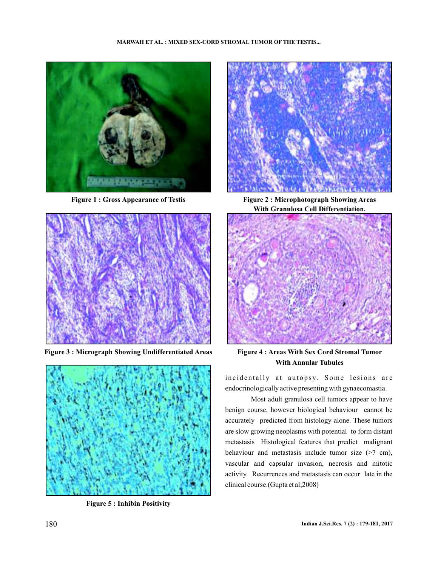



**Figure 3 : Micrograph Showing Undifferentiated Areas Figure 4 : Areas With Sex Cord Stromal Tumor**



**Figure 5 : Inhibin Positivity**



**Figure 1 : Gross Appearance of Testis Figure 2 : Microphotograph Showing Areas With Granulosa Cell Differentiation.**



**With Annular Tubules**

incidentally at autopsy. Some lesions are endocrinologically active presenting with gynaecomastia.

Most adult granulosa cell tumors appear to have benign course, however biological behaviour cannot be accurately predicted from histology alone. These tumors are slow growing neoplasms with potential to form distant metastasis Histological features that predict malignant behaviour and metastasis include tumor size (>7 cm), vascular and capsular invasion, necrosis and mitotic activity. Recurrences and metastasis can occur late in the clinical course.(Gupta et al;2008)